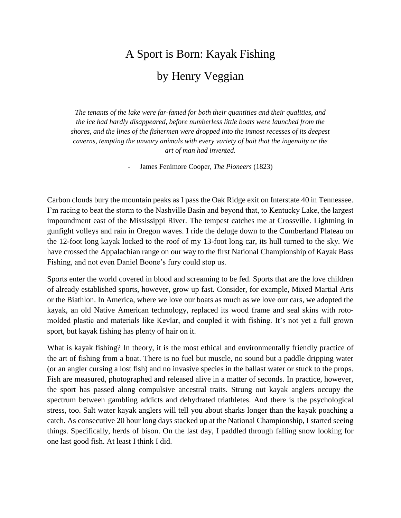## A Sport is Born: Kayak Fishing by Henry Veggian

*The tenants of the lake were far-famed for both their quantities and their qualities, and the ice had hardly disappeared, before numberless little boats were launched from the shores, and the lines of the fishermen were dropped into the inmost recesses of its deepest caverns, tempting the unwary animals with every variety of bait that the ingenuity or the art of man had invented.*

- James Fenimore Cooper*, The Pioneers* (1823)

Carbon clouds bury the mountain peaks as I pass the Oak Ridge exit on Interstate 40 in Tennessee. I'm racing to beat the storm to the Nashville Basin and beyond that, to Kentucky Lake, the largest impoundment east of the Mississippi River. The tempest catches me at Crossville. Lightning in gunfight volleys and rain in Oregon waves. I ride the deluge down to the Cumberland Plateau on the 12-foot long kayak locked to the roof of my 13-foot long car, its hull turned to the sky. We have crossed the Appalachian range on our way to the first National Championship of Kayak Bass Fishing, and not even Daniel Boone's fury could stop us.

Sports enter the world covered in blood and screaming to be fed. Sports that are the love children of already established sports, however, grow up fast. Consider, for example, Mixed Martial Arts or the Biathlon. In America, where we love our boats as much as we love our cars, we adopted the kayak, an old Native American technology, replaced its wood frame and seal skins with rotomolded plastic and materials like Kevlar, and coupled it with fishing. It's not yet a full grown sport, but kayak fishing has plenty of hair on it.

What is kayak fishing? In theory, it is the most ethical and environmentally friendly practice of the art of fishing from a boat. There is no fuel but muscle, no sound but a paddle dripping water (or an angler cursing a lost fish) and no invasive species in the ballast water or stuck to the props. Fish are measured, photographed and released alive in a matter of seconds. In practice, however, the sport has passed along compulsive ancestral traits. Strung out kayak anglers occupy the spectrum between gambling addicts and dehydrated triathletes. And there is the psychological stress, too. Salt water kayak anglers will tell you about sharks longer than the kayak poaching a catch. As consecutive 20 hour long days stacked up at the National Championship, I started seeing things. Specifically, herds of bison. On the last day, I paddled through falling snow looking for one last good fish. At least I think I did.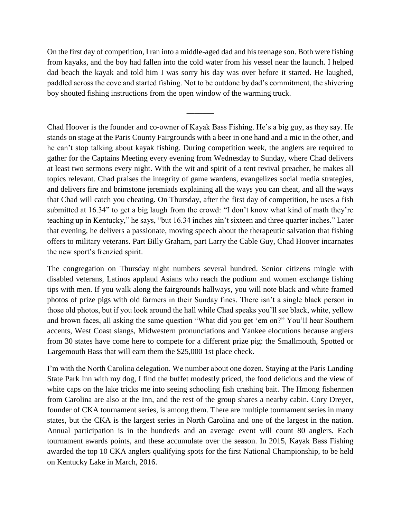On the first day of competition, I ran into a middle-aged dad and his teenage son. Both were fishing from kayaks, and the boy had fallen into the cold water from his vessel near the launch. I helped dad beach the kayak and told him I was sorry his day was over before it started. He laughed, paddled across the cove and started fishing. Not to be outdone by dad's commitment, the shivering boy shouted fishing instructions from the open window of the warming truck.

\_\_\_\_\_\_\_

Chad Hoover is the founder and co-owner of Kayak Bass Fishing. He's a big guy, as they say. He stands on stage at the Paris County Fairgrounds with a beer in one hand and a mic in the other, and he can't stop talking about kayak fishing. During competition week, the anglers are required to gather for the Captains Meeting every evening from Wednesday to Sunday, where Chad delivers at least two sermons every night. With the wit and spirit of a tent revival preacher, he makes all topics relevant. Chad praises the integrity of game wardens, evangelizes social media strategies, and delivers fire and brimstone jeremiads explaining all the ways you can cheat, and all the ways that Chad will catch you cheating. On Thursday, after the first day of competition, he uses a fish submitted at 16.34" to get a big laugh from the crowd: "I don't know what kind of math they're teaching up in Kentucky," he says, "but 16.34 inches ain't sixteen and three quarter inches." Later that evening, he delivers a passionate, moving speech about the therapeutic salvation that fishing offers to military veterans. Part Billy Graham, part Larry the Cable Guy, Chad Hoover incarnates the new sport's frenzied spirit.

The congregation on Thursday night numbers several hundred. Senior citizens mingle with disabled veterans, Latinos applaud Asians who reach the podium and women exchange fishing tips with men. If you walk along the fairgrounds hallways, you will note black and white framed photos of prize pigs with old farmers in their Sunday fines. There isn't a single black person in those old photos, but if you look around the hall while Chad speaks you'll see black, white, yellow and brown faces, all asking the same question "What did you get 'em on?" You'll hear Southern accents, West Coast slangs, Midwestern pronunciations and Yankee elocutions because anglers from 30 states have come here to compete for a different prize pig: the Smallmouth, Spotted or Largemouth Bass that will earn them the \$25,000 1st place check.

I'm with the North Carolina delegation. We number about one dozen. Staying at the Paris Landing State Park Inn with my dog, I find the buffet modestly priced, the food delicious and the view of white caps on the lake tricks me into seeing schooling fish crashing bait. The Hmong fishermen from Carolina are also at the Inn, and the rest of the group shares a nearby cabin. Cory Dreyer, founder of CKA tournament series, is among them. There are multiple tournament series in many states, but the CKA is the largest series in North Carolina and one of the largest in the nation. Annual participation is in the hundreds and an average event will count 80 anglers. Each tournament awards points, and these accumulate over the season. In 2015, Kayak Bass Fishing awarded the top 10 CKA anglers qualifying spots for the first National Championship, to be held on Kentucky Lake in March, 2016.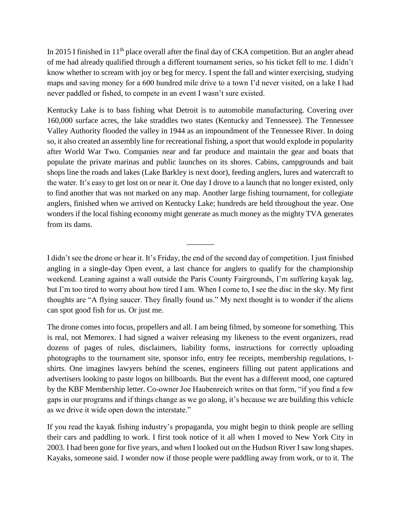In 2015 I finished in 11<sup>th</sup> place overall after the final day of CKA competition. But an angler ahead of me had already qualified through a different tournament series, so his ticket fell to me. I didn't know whether to scream with joy or beg for mercy. I spent the fall and winter exercising, studying maps and saving money for a 600 hundred mile drive to a town I'd never visited, on a lake I had never paddled or fished, to compete in an event I wasn't sure existed.

Kentucky Lake is to bass fishing what Detroit is to automobile manufacturing. Covering over 160,000 surface acres, the lake straddles two states (Kentucky and Tennessee). The Tennessee Valley Authority flooded the valley in 1944 as an impoundment of the Tennessee River. In doing so, it also created an assembly line for recreational fishing, a sport that would explode in popularity after World War Two. Companies near and far produce and maintain the gear and boats that populate the private marinas and public launches on its shores. Cabins, campgrounds and bait shops line the roads and lakes (Lake Barkley is next door), feeding anglers, lures and watercraft to the water. It's easy to get lost on or near it. One day I drove to a launch that no longer existed, only to find another that was not marked on any map. Another large fishing tournament, for collegiate anglers, finished when we arrived on Kentucky Lake; hundreds are held throughout the year. One wonders if the local fishing economy might generate as much money as the mighty TVA generates from its dams.

I didn't see the drone or hear it. It's Friday, the end of the second day of competition. I just finished angling in a single-day Open event, a last chance for anglers to qualify for the championship weekend. Leaning against a wall outside the Paris County Fairgrounds, I'm suffering kayak lag, but I'm too tired to worry about how tired I am. When I come to, I see the disc in the sky. My first thoughts are "A flying saucer. They finally found us." My next thought is to wonder if the aliens can spot good fish for us. Or just me.

\_\_\_\_\_\_\_

The drone comes into focus, propellers and all. I am being filmed, by someone for something. This is real, not Memorex. I had signed a waiver releasing my likeness to the event organizers, read dozens of pages of rules, disclaimers, liability forms, instructions for correctly uploading photographs to the tournament site, sponsor info, entry fee receipts, membership regulations, tshirts. One imagines lawyers behind the scenes, engineers filling out patent applications and advertisers looking to paste logos on billboards. But the event has a different mood, one captured by the KBF Membership letter. Co-owner Joe Haubenreich writes on that form, "if you find a few gaps in our programs and if things change as we go along, it's because we are building this vehicle as we drive it wide open down the interstate."

If you read the kayak fishing industry's propaganda, you might begin to think people are selling their cars and paddling to work. I first took notice of it all when I moved to New York City in 2003. I had been gone for five years, and when I looked out on the Hudson River I saw long shapes. Kayaks, someone said. I wonder now if those people were paddling away from work, or to it. The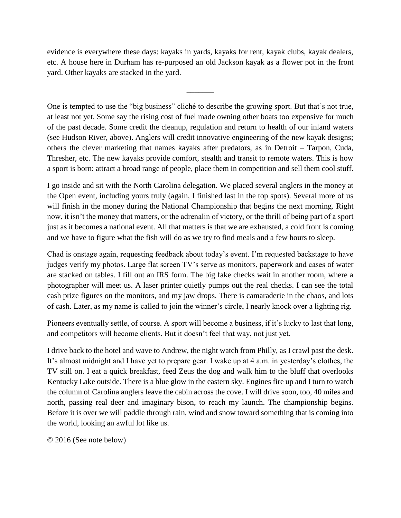evidence is everywhere these days: kayaks in yards, kayaks for rent, kayak clubs, kayak dealers, etc. A house here in Durham has re-purposed an old Jackson kayak as a flower pot in the front yard. Other kayaks are stacked in the yard.

\_\_\_\_\_\_\_

One is tempted to use the "big business" cliché to describe the growing sport. But that's not true, at least not yet. Some say the rising cost of fuel made owning other boats too expensive for much of the past decade. Some credit the cleanup, regulation and return to health of our inland waters (see Hudson River, above). Anglers will credit innovative engineering of the new kayak designs; others the clever marketing that names kayaks after predators, as in Detroit – Tarpon, Cuda, Thresher, etc. The new kayaks provide comfort, stealth and transit to remote waters. This is how a sport is born: attract a broad range of people, place them in competition and sell them cool stuff.

I go inside and sit with the North Carolina delegation. We placed several anglers in the money at the Open event, including yours truly (again, I finished last in the top spots). Several more of us will finish in the money during the National Championship that begins the next morning. Right now, it isn't the money that matters, or the adrenalin of victory, or the thrill of being part of a sport just as it becomes a national event. All that matters is that we are exhausted, a cold front is coming and we have to figure what the fish will do as we try to find meals and a few hours to sleep.

Chad is onstage again, requesting feedback about today's event. I'm requested backstage to have judges verify my photos. Large flat screen TV's serve as monitors, paperwork and cases of water are stacked on tables. I fill out an IRS form. The big fake checks wait in another room, where a photographer will meet us. A laser printer quietly pumps out the real checks. I can see the total cash prize figures on the monitors, and my jaw drops. There is camaraderie in the chaos, and lots of cash. Later, as my name is called to join the winner's circle, I nearly knock over a lighting rig.

Pioneers eventually settle, of course. A sport will become a business, if it's lucky to last that long, and competitors will become clients. But it doesn't feel that way, not just yet.

I drive back to the hotel and wave to Andrew, the night watch from Philly, as I crawl past the desk. It's almost midnight and I have yet to prepare gear. I wake up at 4 a.m. in yesterday's clothes, the TV still on. I eat a quick breakfast, feed Zeus the dog and walk him to the bluff that overlooks Kentucky Lake outside. There is a blue glow in the eastern sky. Engines fire up and I turn to watch the column of Carolina anglers leave the cabin across the cove. I will drive soon, too, 40 miles and north, passing real deer and imaginary bison, to reach my launch. The championship begins. Before it is over we will paddle through rain, wind and snow toward something that is coming into the world, looking an awful lot like us.

© 2016 (See note below)